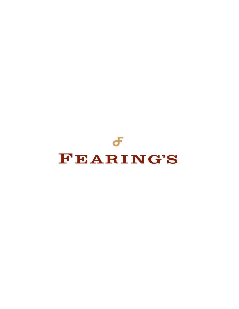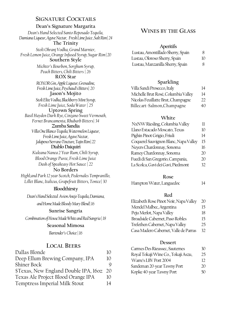# **SIGNATURE COCKTAILS**

## **Dean's Signature Margarita**

*Dean's Hand Selected Santo Reposado Tequila, Damiana Liqueur, Agave Nectar, Fresh Lime Juice , Salt Rim| 24* **The Trinity** 

*Stoli Ohranj Vodka, Grand Marnier, Fresh Lemon Juice, Orange Infused Syrup, Sugar Rim| 20* **Southern Style** 

> *Michter's Bourbon, Sorghum Syrup, Peach Bitters, Chili Bitters | 26* **ROX Star**

> *ROXOR Gin, Apple Liqueur, Grenadine, Fresh Lime Juice, Peychaud's Bitters| 20* **Jason's Mojito**

*Stoli Elite Vodka, Blackberry Mint Syrup, Fresh Lime Juice, Soda Water | 25*

# **Uptown Spring**

*Basil Hayden Dark Rye, Cinzano Sweet Vermouth, Fernet Brancamenta, Rhubarb Bitters| 34* 

## **Zumba Sandia**

*Villa One Blanco Tequila, Watermelon Liqueur, Fresh Lime Juice, Agave Nectar, Jalapeno/Serrano Tincture, Tajin Rim| 22* 

## **Diablo Daiquiri**

*Kuleana Nanea 2 Year Rum, Chili Syrup, Blood Orange Puree, Fresh Lime Juice Dash of Speakeasy Hot Sauce | 22* 

## **No Borders**

*Highl;and Park 12 year Scotch, Pedernales Tempranillo, Lillet Blanc, Italicus, Grapefruit Bitters, Tonice| 30* 

## **Bloodthirsty**

*Dean's Hand Selected Avion Anejo Tequila, Damiana,*

*and Home Made Bloody Mary Blend| 16*

### **Sunrise Sangria**

*Combination of House Made White and Red Sangria | 18*

## **Seasonal Mimosa**

*Bartender's Choice | 16*

# **LOCAL BEERS**

| Dallas Blonde                            | 10 |
|------------------------------------------|----|
| Deep Ellum Brewing Company, IPA          | 10 |
| Shiner Bock                              |    |
| \$Texas, New England Double IPA, 160z 20 |    |
| Texas Ale Project Blood Orange IPA       | 10 |
| Temptress Imperial Milk Stout            | 14 |

# **WINES BY THE GLASS**

## **Aperitifs**

| Lustau, Amontillado Sherry, Spain | 8  |
|-----------------------------------|----|
| Lustau, Oloroso Sherry, Spain     | 10 |
| Lustau, Manzanilla Sherry, Spain  | 8  |

# **Sparkling**

| Villa Sandi Prosecco, Italy         | 14 |
|-------------------------------------|----|
| Michelle Brut Rosé, Columbia Valley | 14 |
| Nicolas Feuillatte Brut, Champagne  | 22 |
| Billecart-Salmon, Champagne         | 40 |

# **White**

| NxNW Riesling, Columbia Valley        | 11 |
|---------------------------------------|----|
| Llano Estacado Moscato, Texas         | 10 |
| Pighin Pinot Grigio, Friuli           | 14 |
| Coquerel Sauvignon Blanc, Napa Valley | 15 |
| Neyers Chardonnay, Sonoma             | 16 |
| Ramey Chardonnay, Sonoma              | 20 |
| Fuedi di San Gregorio, Campania,      | 20 |
| La Scolca, Gavi dei Gavi, Piedmont    | 32 |
|                                       |    |

### **Rose**

|  | Hampton Water, Languedoc |  |
|--|--------------------------|--|
|--|--------------------------|--|

## **Red**

| Elizabeth Rose Pinot Noir, Napa Valley | 20 |
|----------------------------------------|----|
| Mendel Malbec, Argentina               | 15 |
| Peju Merlot, Napa Valley               | 18 |
| Broadside Cabernet, Paso Robles        | 15 |
| Trefethen Cabernet, Napa Valley        | 25 |
| Casa Madero Cabernet, Valle de Parras  | 32 |

## **Dessert**

| Carmes Des Rieussec, Sauternes      | 30 |
|-------------------------------------|----|
| Royal Tokaji Wine Co., Tokaji Aszu, | 25 |
| Warre's LBV Port 2004               | 12 |
| Sandeman 20-year Tawny Port         | 20 |
| Kopke 40-year Tawny Port            | 50 |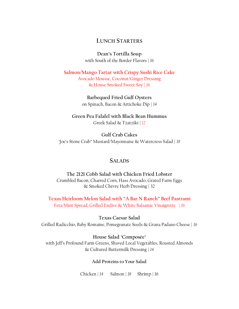# **LUNCH STARTERS**

**Dean's Tortilla Soup** with South of the Border Flavors | *16*

**Salmon/Mango Tartar with Crispy Sushi Rice Cake**  Avocado Mousse, Coconut/Ginger Dressing & House Smoked Sweet Soy | *16*

> **Barbequed Fried Gulf Oysters**  on Spinach, Bacon & Artichoke Dip | *14*

**Green Pea Falafel with Black Bean Hummus**  Greek Salad & Tzatziki | *12*

**Gulf Crab Cakes**  'Joe's Stone Crab" Mustard/Mayonnaise & Watercress Salad | *18*

# **SALADS**

**The 2121 Cobb Salad with Chicken Fried Lobster**  Crumbled Bacon, Charred Corn, Hass Avocado, Grated Farm Eggs & Smoked Chèvre Herb Dressing | 32

**Texas Heirloom Melon Salad with "A Bar N Ranch" Beef Pastrami** Feta/Mint Spread, Grilled Endive & White Balsamic Vinaigrette | *16*

**Texas Caesar Salad**  Grilled Radicchio, Baby Romaine, Pomegranate Seeds & Grana Padano Cheese | *16*

**House Salad 'Composée'** with Jeff's Profound Farm Greens, Shaved Local Vegetables, Roasted Almonds & Cultured Buttermilk Dressing | *14*

**Add Proteins to Your Salad** 

Chicken | *14* Salmon | *18* Shrimp | 16